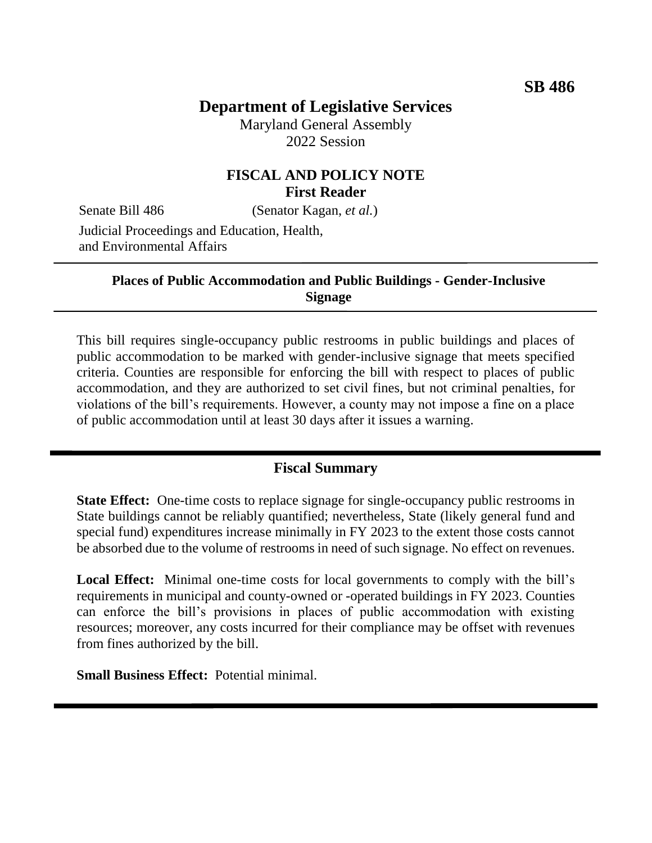# **Department of Legislative Services**

Maryland General Assembly 2022 Session

### **FISCAL AND POLICY NOTE First Reader**

Senate Bill 486 (Senator Kagan, *et al.*)

Judicial Proceedings and Education, Health, and Environmental Affairs

#### **Places of Public Accommodation and Public Buildings - Gender-Inclusive Signage**

This bill requires single-occupancy public restrooms in public buildings and places of public accommodation to be marked with gender-inclusive signage that meets specified criteria. Counties are responsible for enforcing the bill with respect to places of public accommodation, and they are authorized to set civil fines, but not criminal penalties, for violations of the bill's requirements. However, a county may not impose a fine on a place of public accommodation until at least 30 days after it issues a warning.

#### **Fiscal Summary**

**State Effect:** One-time costs to replace signage for single-occupancy public restrooms in State buildings cannot be reliably quantified; nevertheless, State (likely general fund and special fund) expenditures increase minimally in FY 2023 to the extent those costs cannot be absorbed due to the volume of restrooms in need of such signage. No effect on revenues.

Local Effect: Minimal one-time costs for local governments to comply with the bill's requirements in municipal and county-owned or -operated buildings in FY 2023. Counties can enforce the bill's provisions in places of public accommodation with existing resources; moreover, any costs incurred for their compliance may be offset with revenues from fines authorized by the bill.

**Small Business Effect:** Potential minimal.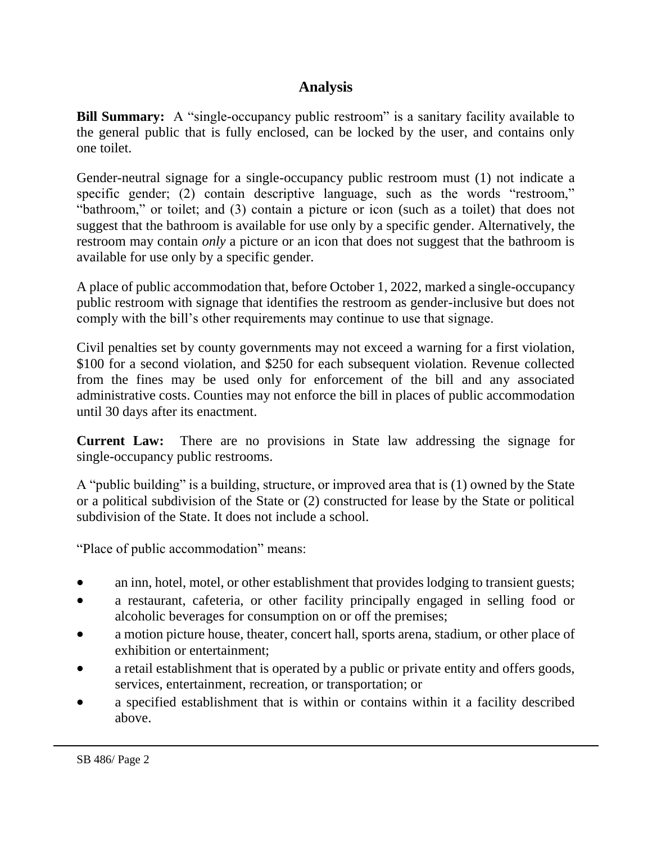## **Analysis**

**Bill Summary:** A "single-occupancy public restroom" is a sanitary facility available to the general public that is fully enclosed, can be locked by the user, and contains only one toilet.

Gender-neutral signage for a single-occupancy public restroom must (1) not indicate a specific gender; (2) contain descriptive language, such as the words "restroom," "bathroom," or toilet; and (3) contain a picture or icon (such as a toilet) that does not suggest that the bathroom is available for use only by a specific gender. Alternatively, the restroom may contain *only* a picture or an icon that does not suggest that the bathroom is available for use only by a specific gender.

A place of public accommodation that, before October 1, 2022, marked a single-occupancy public restroom with signage that identifies the restroom as gender-inclusive but does not comply with the bill's other requirements may continue to use that signage.

Civil penalties set by county governments may not exceed a warning for a first violation, \$100 for a second violation, and \$250 for each subsequent violation. Revenue collected from the fines may be used only for enforcement of the bill and any associated administrative costs. Counties may not enforce the bill in places of public accommodation until 30 days after its enactment.

**Current Law:** There are no provisions in State law addressing the signage for single-occupancy public restrooms.

A "public building" is a building, structure, or improved area that is (1) owned by the State or a political subdivision of the State or (2) constructed for lease by the State or political subdivision of the State. It does not include a school.

"Place of public accommodation" means:

- an inn, hotel, motel, or other establishment that provides lodging to transient guests;
- a restaurant, cafeteria, or other facility principally engaged in selling food or alcoholic beverages for consumption on or off the premises;
- a motion picture house, theater, concert hall, sports arena, stadium, or other place of exhibition or entertainment;
- a retail establishment that is operated by a public or private entity and offers goods, services, entertainment, recreation, or transportation; or
- a specified establishment that is within or contains within it a facility described above.